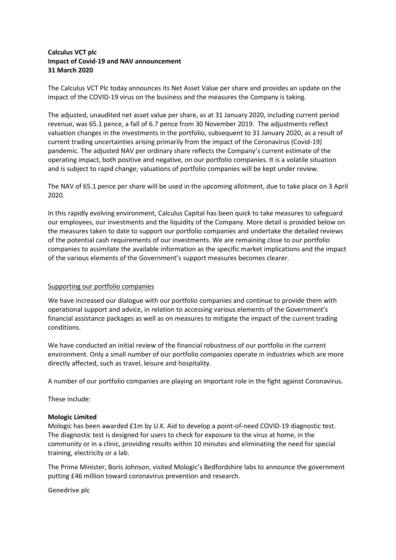# **Calculus VCT plc Impact of Covid-19 and NAV announcement 31 March 2020**

The Calculus VCT Plc today announces its Net Asset Value per share and provides an update on the impact of the COVID-19 virus on the business and the measures the Company is taking.

The adjusted, unaudited net asset value per share, as at 31 January 2020, including current period revenue, was 65.1 pence, a fall of 6.7 pence from 30 November 2019. The adjustments reflect valuation changes in the investments in the portfolio, subsequent to 31 January 2020, as a result of current trading uncertainties arising primarily from the impact of the Coronavirus (Covid-19) pandemic. The adjusted NAV per ordinary share reflects the Company's current estimate of the operating impact, both positive and negative, on our portfolio companies. It is a volatile situation and is subject to rapid change; valuations of portfolio companies will be kept under review.

The NAV of 65.1 pence per share will be used in the upcoming allotment, due to take place on 3 April 2020.

In this rapidly evolving environment, Calculus Capital has been quick to take measures to safeguard our employees, our investments and the liquidity of the Company. More detail is provided below on the measures taken to date to support our portfolio companies and undertake the detailed reviews of the potential cash requirements of our investments. We are remaining close to our portfolio companies to assimilate the available information as the specific market implications and the impact of the various elements of the Government's support measures becomes clearer.

## Supporting our portfolio companies

We have increased our dialogue with our portfolio companies and continue to provide them with operational support and advice, in relation to accessing various elements of the Government's financial assistance packages as well as on measures to mitigate the impact of the current trading conditions.

We have conducted an initial review of the financial robustness of our portfolio in the current environment. Only a small number of our portfolio companies operate in industries which are more directly affected, such as travel, leisure and hospitality.

A number of our portfolio companies are playing an important role in the fight against Coronavirus.

These include:

## **Mologic Limited**

Mologic has been awarded £1m by U.K. Aid to develop a point-of-need COVID-19 diagnostic test. The diagnostic test is designed for users to check for exposure to the virus at home, in the community or in a clinic, providing results within 10 minutes and eliminating the need for special training, electricity or a lab.

The Prime Minister, Boris Johnson, visited Mologic's Bedfordshire labs to announce the government putting £46 million toward coronavirus prevention and research.

**Genedrive plc**